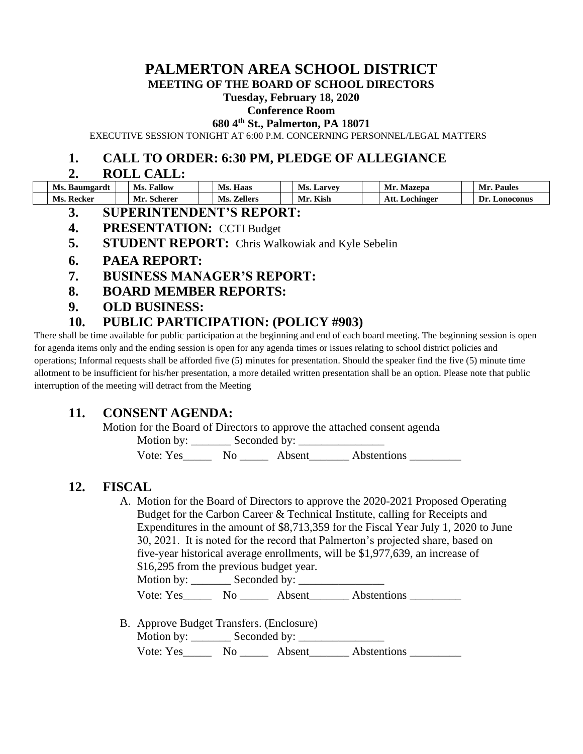# **PALMERTON AREA SCHOOL DISTRICT**

**MEETING OF THE BOARD OF SCHOOL DIRECTORS**

#### **Tuesday, February 18, 2020**

#### **Conference Room**

**680 4th St., Palmerton, PA 18071**

EXECUTIVE SESSION TONIGHT AT 6:00 P.M. CONCERNING PERSONNEL/LEGAL MATTERS

### **1. CALL TO ORDER: 6:30 PM, PLEDGE OF ALLEGIANCE**

#### **2. ROLL CALL:**

| Ms. Baumgardt | Ms.<br>Fallow | Haas<br>Ms.           | Ms.<br>. Larvev | Mazepa<br>Mr      | <b>Paules</b><br>Мr |
|---------------|---------------|-----------------------|-----------------|-------------------|---------------------|
| Ms. Recker    | Mr<br>scherer | Ms.<br><b>Zellers</b> | Mr. Kish        | Att.<br>Lochinger | Dr.<br>Lonoconus    |

- **3. SUPERINTENDENT'S REPORT:**
- **4. PRESENTATION:** CCTI Budget
- **5. STUDENT REPORT:** Chris Walkowiak and Kyle Sebelin

### **6. PAEA REPORT:**

- **7. BUSINESS MANAGER'S REPORT:**
- **8. BOARD MEMBER REPORTS:**
- **9. OLD BUSINESS:**

# **10. PUBLIC PARTICIPATION: (POLICY #903)**

There shall be time available for public participation at the beginning and end of each board meeting. The beginning session is open for agenda items only and the ending session is open for any agenda times or issues relating to school district policies and operations; Informal requests shall be afforded five (5) minutes for presentation. Should the speaker find the five (5) minute time allotment to be insufficient for his/her presentation, a more detailed written presentation shall be an option. Please note that public interruption of the meeting will detract from the Meeting

# **11. CONSENT AGENDA:**

Motion for the Board of Directors to approve the attached consent agenda

Motion by: \_\_\_\_\_\_\_ Seconded by: \_\_\_\_\_\_\_\_\_\_\_\_\_\_\_

Vote: Yes\_\_\_\_\_\_\_ No \_\_\_\_\_\_\_ Absent\_\_\_\_\_\_\_\_ Abstentions \_\_\_\_\_\_\_\_\_\_\_\_

# **12. FISCAL**

A. Motion for the Board of Directors to approve the 2020-2021 Proposed Operating Budget for the Carbon Career & Technical Institute, calling for Receipts and Expenditures in the amount of \$8,713,359 for the Fiscal Year July 1, 2020 to June 30, 2021. It is noted for the record that Palmerton's projected share, based on five-year historical average enrollments, will be \$1,977,639, an increase of \$16,295 from the previous budget year. Motion by: \_\_\_\_\_\_\_\_ Seconded by: \_\_\_\_\_\_\_\_\_\_\_

Vote: Yes\_\_\_\_\_\_\_ No \_\_\_\_\_\_ Absent\_\_\_\_\_\_\_ Abstentions \_\_\_\_\_\_\_\_\_

B. Approve Budget Transfers. (Enclosure) Motion by: \_\_\_\_\_\_\_ Seconded by: \_\_\_\_\_\_\_\_\_\_\_\_\_\_\_ Vote: Yes\_\_\_\_\_\_\_ No \_\_\_\_\_\_\_ Absent\_\_\_\_\_\_\_\_ Abstentions \_\_\_\_\_\_\_\_\_\_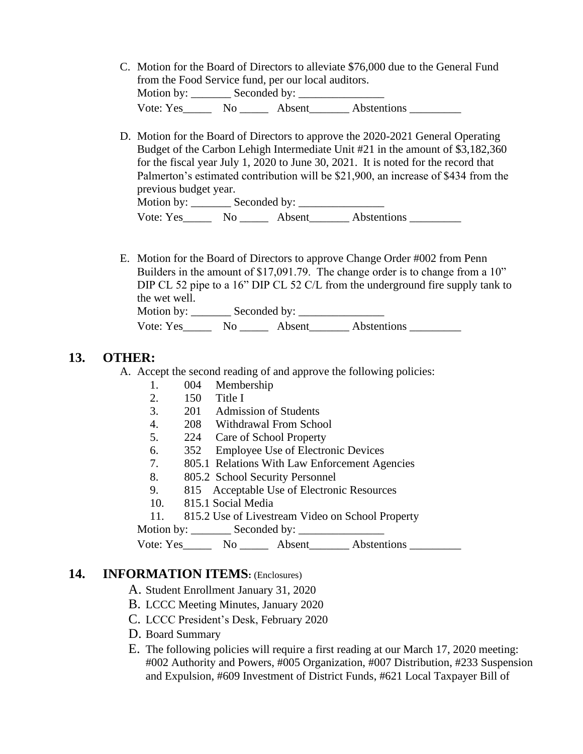- C. Motion for the Board of Directors to alleviate \$76,000 due to the General Fund from the Food Service fund, per our local auditors. Motion by: \_\_\_\_\_\_\_\_ Seconded by: \_\_\_\_\_\_\_\_\_\_\_ Vote: Yes\_\_\_\_\_\_\_ No \_\_\_\_\_\_ Absent\_\_\_\_\_\_\_\_ Abstentions \_\_\_\_\_\_\_\_\_
- D. Motion for the Board of Directors to approve the 2020-2021 General Operating Budget of the Carbon Lehigh Intermediate Unit #21 in the amount of \$3,182,360 for the fiscal year July 1, 2020 to June 30, 2021. It is noted for the record that Palmerton's estimated contribution will be \$21,900, an increase of \$434 from the previous budget year.<br>Motion by: S Motion by: \_\_\_\_\_\_\_ Seconded by: \_\_\_\_\_\_\_\_\_\_\_\_\_\_\_

| viouon dy: | Seconded by: |        |             |
|------------|--------------|--------|-------------|
| Vote: Yes  | No           | Absent | Abstentions |

E. Motion for the Board of Directors to approve Change Order #002 from Penn Builders in the amount of \$17,091.79. The change order is to change from a 10" DIP CL 52 pipe to a 16" DIP CL 52 C/L from the underground fire supply tank to the wet well.

| Motion by: | Seconded by: |        |             |
|------------|--------------|--------|-------------|
| Vote: Yes  | No           | Absent | Abstentions |

## **13. OTHER:**

A. Accept the second reading of and approve the following policies:

- 1. 004 Membership
- 2. 150 Title I
- 3. 201 Admission of Students
- 4. 208 Withdrawal From School
- 5. 224 Care of School Property
- 6. 352 Employee Use of Electronic Devices
- 7. 805.1 Relations With Law Enforcement Agencies
- 8. 805.2 School Security Personnel
- 9. 815 Acceptable Use of Electronic Resources
- 10. 815.1 Social Media
- 11. 815.2 Use of Livestream Video on School Property
- Motion by: \_\_\_\_\_\_\_ Seconded by: \_\_\_\_\_\_\_\_\_\_\_\_\_\_\_

```
Vote: Yes_________ No ________ Absent_________ Abstentions
```
### **14. INFORMATION ITEMS:** (Enclosures)

- A. Student Enrollment January 31, 2020
- B. LCCC Meeting Minutes, January 2020
- C. LCCC President's Desk, February 2020
- D. Board Summary
- E. The following policies will require a first reading at our March 17, 2020 meeting: #002 Authority and Powers, #005 Organization, #007 Distribution, #233 Suspension and Expulsion, #609 Investment of District Funds, #621 Local Taxpayer Bill of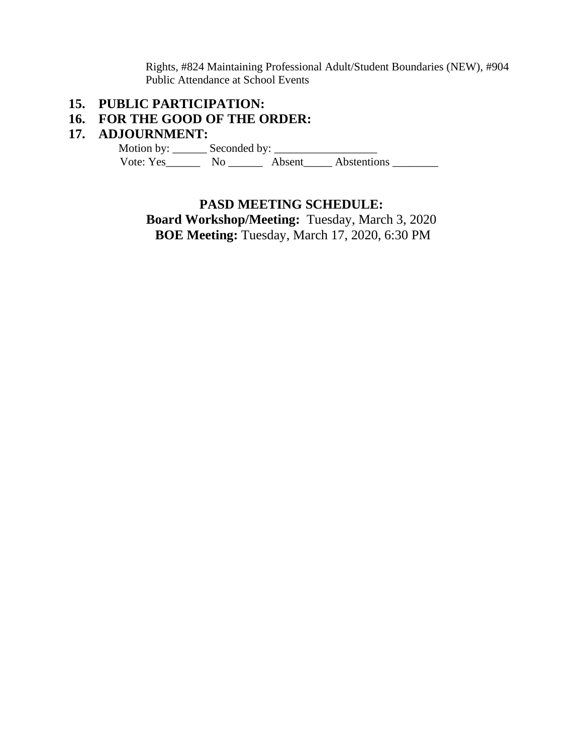Rights, #824 Maintaining Professional Adult/Student Boundaries (NEW), #904 Public Attendance at School Events

# **15. PUBLIC PARTICIPATION:**

## **16. FOR THE GOOD OF THE ORDER:**

### **17. ADJOURNMENT:**

 Motion by: \_\_\_\_\_\_ Seconded by: \_\_\_\_\_\_\_\_\_\_\_\_\_\_\_\_\_\_ Vote: Yes\_\_\_\_\_\_\_\_ No \_\_\_\_\_\_\_ Absent\_\_\_\_\_ Abstentions \_\_\_\_\_\_\_\_\_

#### **PASD MEETING SCHEDULE:**

**Board Workshop/Meeting:** Tuesday, March 3, 2020 **BOE Meeting:** Tuesday, March 17, 2020, 6:30 PM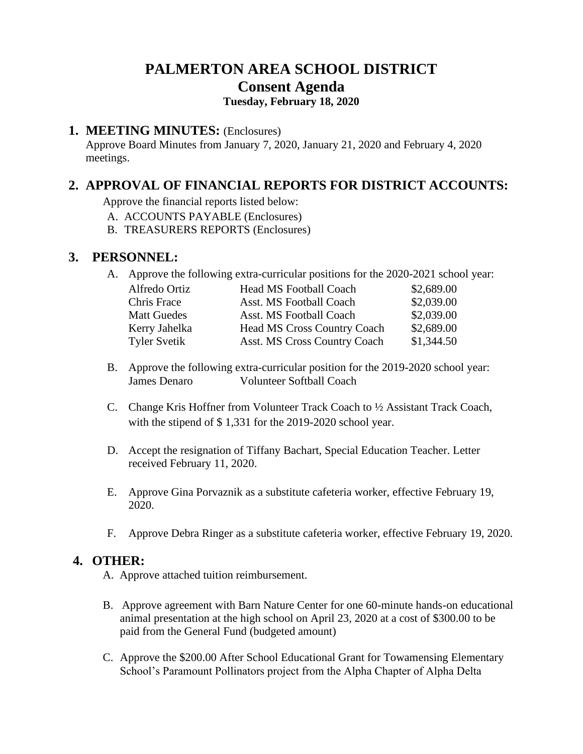# **PALMERTON AREA SCHOOL DISTRICT Consent Agenda Tuesday, February 18, 2020**

### **1. MEETING MINUTES:** (Enclosures)

Approve Board Minutes from January 7, 2020, January 21, 2020 and February 4, 2020 meetings.

# **2. APPROVAL OF FINANCIAL REPORTS FOR DISTRICT ACCOUNTS:**

Approve the financial reports listed below:

- A. ACCOUNTS PAYABLE (Enclosures)
- B. TREASURERS REPORTS (Enclosures)

## **3. PERSONNEL:**

A. Approve the following extra-curricular positions for the 2020-2021 school year:

| Alfredo Ortiz       | <b>Head MS Football Coach</b>       | \$2,689.00 |
|---------------------|-------------------------------------|------------|
| Chris Frace         | Asst. MS Football Coach             | \$2,039.00 |
| <b>Matt Guedes</b>  | Asst. MS Football Coach             | \$2,039.00 |
| Kerry Jahelka       | <b>Head MS Cross Country Coach</b>  | \$2,689.00 |
| <b>Tyler Svetik</b> | <b>Asst. MS Cross Country Coach</b> | \$1,344.50 |

- B. Approve the following extra-curricular position for the 2019-2020 school year: James Denaro Volunteer Softball Coach
- C. Change Kris Hoffner from Volunteer Track Coach to ½ Assistant Track Coach, with the stipend of \$1,331 for the 2019-2020 school year.
- D. Accept the resignation of Tiffany Bachart, Special Education Teacher. Letter received February 11, 2020.
- E. Approve Gina Porvaznik as a substitute cafeteria worker, effective February 19, 2020.
- F. Approve Debra Ringer as a substitute cafeteria worker, effective February 19, 2020.

# **4. OTHER:**

- A. Approve attached tuition reimbursement.
- B. Approve agreement with Barn Nature Center for one 60-minute hands-on educational animal presentation at the high school on April 23, 2020 at a cost of \$300.00 to be paid from the General Fund (budgeted amount)
- C. Approve the \$200.00 After School Educational Grant for Towamensing Elementary School's Paramount Pollinators project from the Alpha Chapter of Alpha Delta